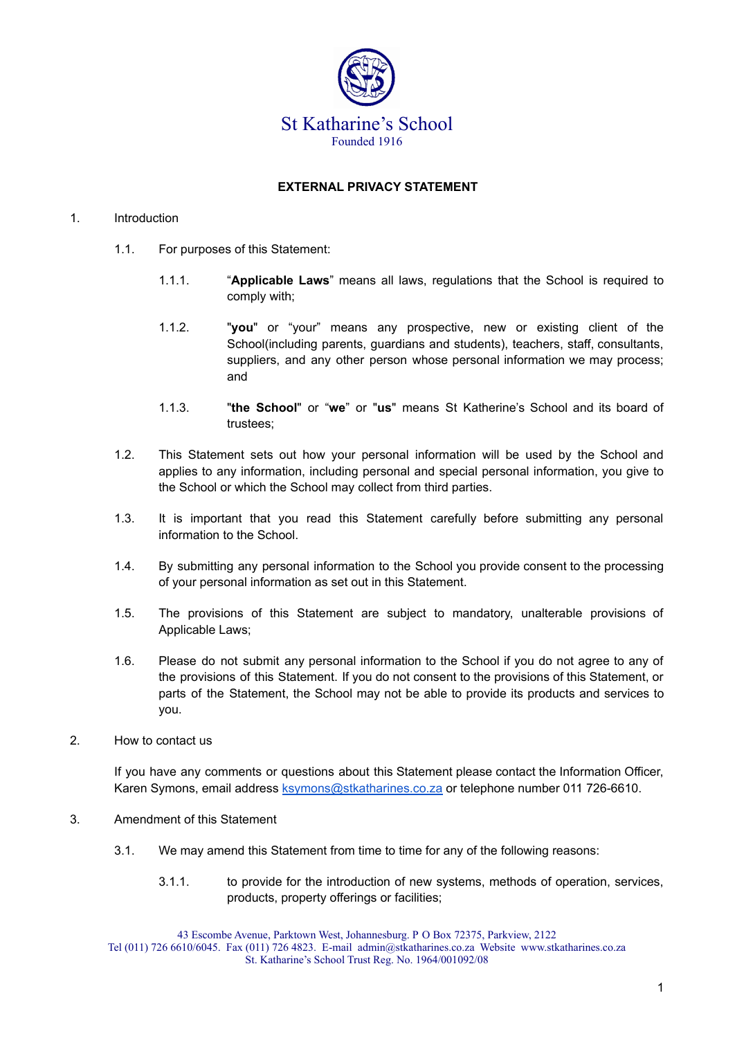

## **EXTERNAL PRIVACY STATEMENT**

## 1. Introduction

- 1.1. For purposes of this Statement:
	- 1.1.1. "**Applicable Laws**" means all laws, regulations that the School is required to comply with;
	- 1.1.2. "**you**" or "your" means any prospective, new or existing client of the School(including parents, guardians and students), teachers, staff, consultants, suppliers, and any other person whose personal information we may process; and
	- 1.1.3. "**the School**" or "**we**" or "**us**" means St Katherine's School and its board of trustees;
- 1.2. This Statement sets out how your personal information will be used by the School and applies to any information, including personal and special personal information, you give to the School or which the School may collect from third parties.
- 1.3. It is important that you read this Statement carefully before submitting any personal information to the School.
- 1.4. By submitting any personal information to the School you provide consent to the processing of your personal information as set out in this Statement.
- 1.5. The provisions of this Statement are subject to mandatory, unalterable provisions of Applicable Laws;
- 1.6. Please do not submit any personal information to the School if you do not agree to any of the provisions of this Statement. If you do not consent to the provisions of this Statement, or parts of the Statement, the School may not be able to provide its products and services to you.
- 2. How to contact us

If you have any comments or questions about this Statement please contact the Information Officer, Karen Symons, email address [ksymons@stkatharines.co.za](mailto:ksymons@stkatharines.co.za) or telephone number 011 726-6610.

- 3. Amendment of this Statement
	- 3.1. We may amend this Statement from time to time for any of the following reasons:
		- 3.1.1. to provide for the introduction of new systems, methods of operation, services, products, property offerings or facilities;

43 Escombe Avenue, Parktown West, Johannesburg. P O Box 72375, Parkview, 2122 Tel (011) 726 6610/6045. Fax (011) 726 4823. E-mail admin@stkatharines.co.za Website www.stkatharines.co.za St. Katharine's School Trust Reg. No. 1964/001092/08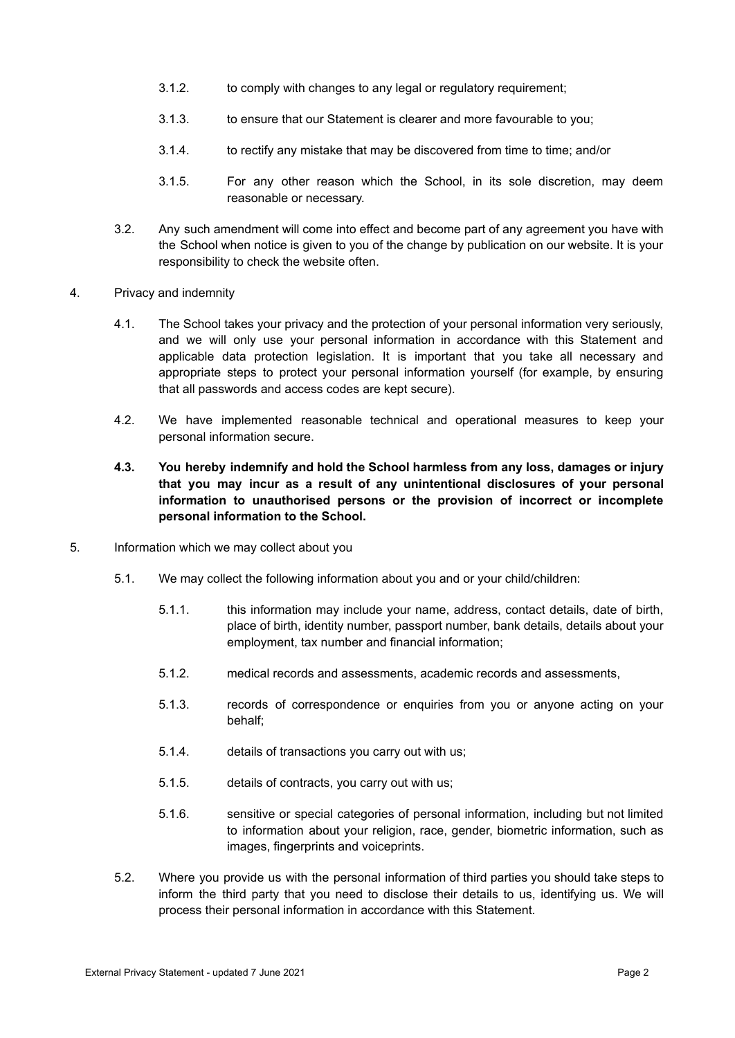- 3.1.2. to comply with changes to any legal or regulatory requirement;
- 3.1.3. to ensure that our Statement is clearer and more favourable to you;
- 3.1.4. to rectify any mistake that may be discovered from time to time; and/or
- 3.1.5. For any other reason which the School, in its sole discretion, may deem reasonable or necessary.
- 3.2. Any such amendment will come into effect and become part of any agreement you have with the School when notice is given to you of the change by publication on our website. It is your responsibility to check the website often.
- 4. Privacy and indemnity
	- 4.1. The School takes your privacy and the protection of your personal information very seriously, and we will only use your personal information in accordance with this Statement and applicable data protection legislation. It is important that you take all necessary and appropriate steps to protect your personal information yourself (for example, by ensuring that all passwords and access codes are kept secure).
	- 4.2. We have implemented reasonable technical and operational measures to keep your personal information secure.
	- **4.3. You hereby indemnify and hold the School harmless from any loss, damages or injury that you may incur as a result of any unintentional disclosures of your personal information to unauthorised persons or the provision of incorrect or incomplete personal information to the School.**
- 5. Information which we may collect about you
	- 5.1. We may collect the following information about you and or your child/children:
		- 5.1.1. this information may include your name, address, contact details, date of birth, place of birth, identity number, passport number, bank details, details about your employment, tax number and financial information;
		- 5.1.2. medical records and assessments, academic records and assessments,
		- 5.1.3. records of correspondence or enquiries from you or anyone acting on your behalf;
		- 5.1.4. details of transactions you carry out with us;
		- 5.1.5. details of contracts, you carry out with us;
		- 5.1.6. sensitive or special categories of personal information, including but not limited to information about your religion, race, gender, biometric information, such as images, fingerprints and voiceprints.
	- 5.2. Where you provide us with the personal information of third parties you should take steps to inform the third party that you need to disclose their details to us, identifying us. We will process their personal information in accordance with this Statement.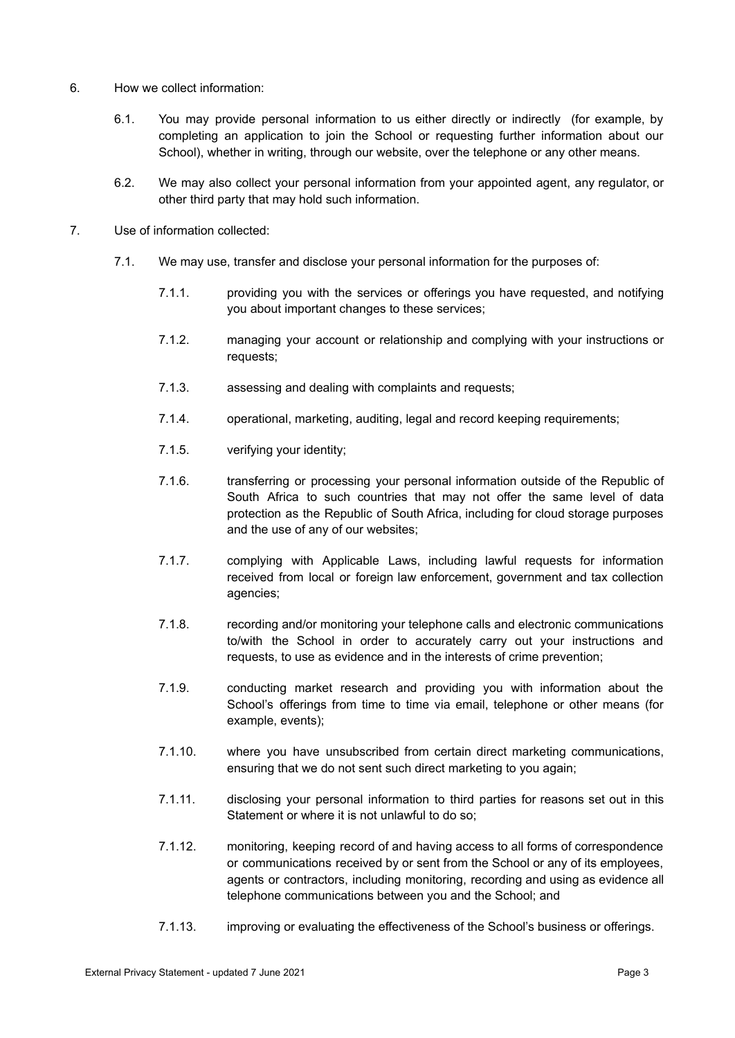- 6. How we collect information:
	- 6.1. You may provide personal information to us either directly or indirectly (for example, by completing an application to join the School or requesting further information about our School), whether in writing, through our website, over the telephone or any other means.
	- 6.2. We may also collect your personal information from your appointed agent, any regulator, or other third party that may hold such information.
- 7. Use of information collected:
	- 7.1. We may use, transfer and disclose your personal information for the purposes of:
		- 7.1.1. providing you with the services or offerings you have requested, and notifying you about important changes to these services;
		- 7.1.2. managing your account or relationship and complying with your instructions or requests;
		- 7.1.3. assessing and dealing with complaints and requests;
		- 7.1.4. operational, marketing, auditing, legal and record keeping requirements;
		- 7.1.5. verifying your identity;
		- 7.1.6. transferring or processing your personal information outside of the Republic of South Africa to such countries that may not offer the same level of data protection as the Republic of South Africa, including for cloud storage purposes and the use of any of our websites;
		- 7.1.7. complying with Applicable Laws, including lawful requests for information received from local or foreign law enforcement, government and tax collection agencies;
		- 7.1.8. recording and/or monitoring your telephone calls and electronic communications to/with the School in order to accurately carry out your instructions and requests, to use as evidence and in the interests of crime prevention;
		- 7.1.9. conducting market research and providing you with information about the School's offerings from time to time via email, telephone or other means (for example, events);
		- 7.1.10. where you have unsubscribed from certain direct marketing communications, ensuring that we do not sent such direct marketing to you again;
		- 7.1.11. disclosing your personal information to third parties for reasons set out in this Statement or where it is not unlawful to do so;
		- 7.1.12. monitoring, keeping record of and having access to all forms of correspondence or communications received by or sent from the School or any of its employees, agents or contractors, including monitoring, recording and using as evidence all telephone communications between you and the School; and
		- 7.1.13. improving or evaluating the effectiveness of the School's business or offerings.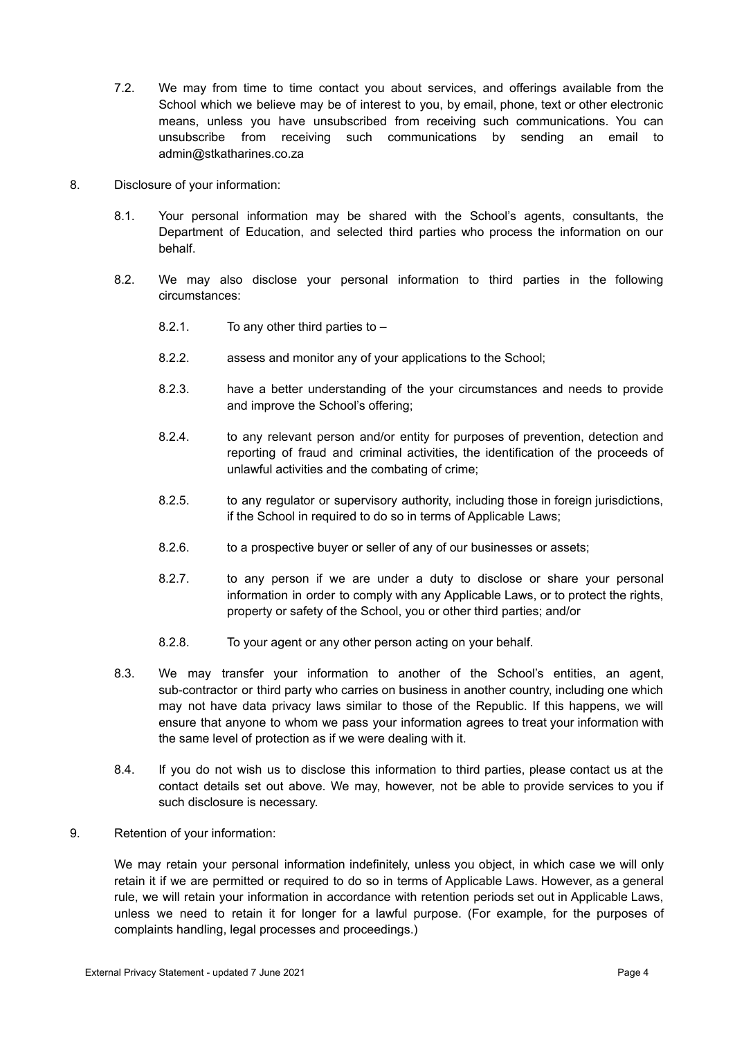- 7.2. We may from time to time contact you about services, and offerings available from the School which we believe may be of interest to you, by email, phone, text or other electronic means, unless you have unsubscribed from receiving such communications. You can unsubscribe from receiving such communications by sending an email to admin@stkatharines.co.za
- 8. Disclosure of your information:
	- 8.1. Your personal information may be shared with the School's agents, consultants, the Department of Education, and selected third parties who process the information on our behalf.
	- 8.2. We may also disclose your personal information to third parties in the following circumstances:
		- 8.2.1. To any other third parties to –
		- 8.2.2. assess and monitor any of your applications to the School;
		- 8.2.3. have a better understanding of the your circumstances and needs to provide and improve the School's offering;
		- 8.2.4. to any relevant person and/or entity for purposes of prevention, detection and reporting of fraud and criminal activities, the identification of the proceeds of unlawful activities and the combating of crime;
		- 8.2.5. to any regulator or supervisory authority, including those in foreign jurisdictions, if the School in required to do so in terms of Applicable Laws;
		- 8.2.6. to a prospective buyer or seller of any of our businesses or assets;
		- 8.2.7. to any person if we are under a duty to disclose or share your personal information in order to comply with any Applicable Laws, or to protect the rights, property or safety of the School, you or other third parties; and/or
		- 8.2.8. To your agent or any other person acting on your behalf.
	- 8.3. We may transfer your information to another of the School's entities, an agent, sub-contractor or third party who carries on business in another country, including one which may not have data privacy laws similar to those of the Republic. If this happens, we will ensure that anyone to whom we pass your information agrees to treat your information with the same level of protection as if we were dealing with it.
	- 8.4. If you do not wish us to disclose this information to third parties, please contact us at the contact details set out above. We may, however, not be able to provide services to you if such disclosure is necessary.
- 9. Retention of your information:

We may retain your personal information indefinitely, unless you object, in which case we will only retain it if we are permitted or required to do so in terms of Applicable Laws. However, as a general rule, we will retain your information in accordance with retention periods set out in Applicable Laws, unless we need to retain it for longer for a lawful purpose. (For example, for the purposes of complaints handling, legal processes and proceedings.)